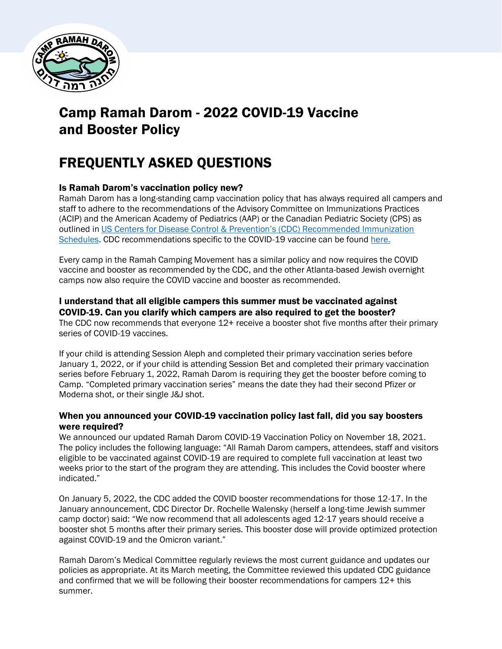

# Camp Ramah Darom - 2022 COVID-19 Vaccine and Booster Policy

# FREQUENTLY ASKED QUESTIONS

# Is Ramah Darom's vaccination policy new?

Ramah Darom has a long-standing camp vaccination policy that has always required all campers and staff to adhere to the recommendations of the Advisory Committee on Immunizations Practices (ACIP) and the American Academy of Pediatrics (AAP) or the Canadian Pediatric Society (CPS) as outlined in [US Centers for Disease Control & Prevention's \(CDC\) Recommended Immunization](https://www.cdc.gov/vaccines/schedules/)  [Schedules.](https://www.cdc.gov/vaccines/schedules/) CDC recommendations specific to the COVID-19 vaccine can be found [here.](https://www.cdc.gov/vaccines/covid-19/downloads/COVID-19-immunization-schedule-ages-5yrs-older.pdf)

Every camp in the Ramah Camping Movement has a similar policy and now requires the COVID vaccine and booster as recommended by the CDC, and the other Atlanta-based Jewish overnight camps now also require the COVID vaccine and booster as recommended.

# I understand that all eligible campers this summer must be vaccinated against

COVID-19. Can you clarify which campers are also required to get the booster? The CDC now recommends that everyone 12+ receive a booster shot five months after their primary series of COVID-19 vaccines.

If your child is attending Session Aleph and completed their primary vaccination series before January 1, 2022, or if your child is attending Session Bet and completed their primary vaccination series before February 1, 2022, Ramah Darom is requiring they get the booster before coming to Camp. "Completed primary vaccination series" means the date they had their second Pfizer or Moderna shot, or their single J&J shot.

# When you announced your COVID-19 vaccination policy last fall, did you say boosters were required?

We announced our updated Ramah Darom COVID-19 Vaccination Policy on November 18, 2021. The policy includes the following language: "All Ramah Darom campers, attendees, staff and visitors eligible to be vaccinated against COVID-19 are required to complete full vaccination at least two weeks prior to the start of the program they are attending. This includes the Covid booster where indicated."

On January 5, 2022, the CDC added the COVID booster recommendations for those 12-17. In the January announcement, CDC Director Dr. Rochelle Walensky (herself a long-time Jewish summer camp doctor) said: "We now recommend that all adolescents aged 12-17 years should receive a booster shot 5 months after their primary series. This booster dose will provide optimized protection against COVID-19 and the Omicron variant."

Ramah Darom's Medical Committee regularly reviews the most current guidance and updates our policies as appropriate. At its March meeting, the Committee reviewed this updated CDC guidance and confirmed that we will be following their booster recommendations for campers 12+ this summer.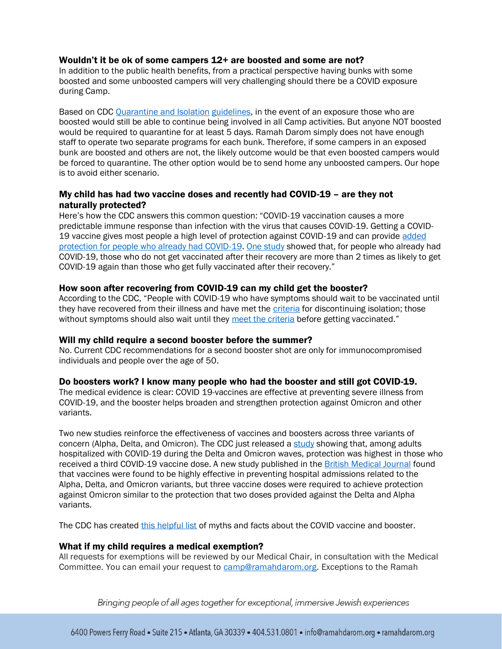### Wouldn't it be ok of some campers 12+ are boosted and some are not?

In addition to the public health benefits, from a practical perspective having bunks with some boosted and some unboosted campers will very challenging should there be a COVID exposure during Camp.

Based on CDC [Quarantine and Isolation](https://www.cdc.gov/coronavirus/2019-ncov/your-health/quarantine-isolation.html#:~:text=do%20for%20quarantine-,Stay%20home%20and%20away%20from%20other%20people%20for%20at%20least,others%20at%20home%2C%20if%20possible.) guidelines, in the event of an exposure those who are boosted would still be able to continue being involved in all Camp activities. But anyone NOT boosted would be required to quarantine for at least 5 days. Ramah Darom simply does not have enough staff to operate two separate programs for each bunk. Therefore, if some campers in an exposed bunk are boosted and others are not, the likely outcome would be that even boosted campers would be forced to quarantine. The other option would be to send home any unboosted campers. Our hope is to avoid either scenario.

# My child has had two vaccine doses and recently had COVID-19 – are they not naturally protected?

Here's how the CDC answers this common question: "COVID-19 vaccination causes a more predictable immune response than infection with the virus that causes COVID-19. Getting a COVID-19 vaccine gives most people a high level of protection against COVID-19 and can provide added [protection for people who already had COVID-19.](https://www.cdc.gov/coronavirus/2019-ncov/science/science-briefs/vaccine-induced-immunity.html#anchor_1635540493225) [One study](https://www.cdc.gov/mmwr/volumes/70/wr/mm7032e1.htm?s_cid=mm7032e1_w) showed that, for people who already had COVID-19, those who do not get vaccinated after their recovery are more than 2 times as likely to get COVID-19 again than those who get fully vaccinated after their recovery."

### How soon after recovering from COVID-19 can my child get the booster?

According to the CDC, "People with COVID-19 who have symptoms should wait to be vaccinated until they have recovered from their illness and have met the [criteria](https://www.cdc.gov/coronavirus/2019-ncov/your-health/quarantine-isolation.html) for discontinuing isolation; those without symptoms should also wait until they [meet the criteria](https://www.cdc.gov/coronavirus/2019-ncov/your-health/quarantine-isolation.html) before getting vaccinated."

### Will my child require a second booster before the summer?

No. Current CDC recommendations for a second booster shot are only for immunocompromised individuals and people over the age of 50.

### Do boosters work? I know many people who had the booster and still got COVID-19.

The medical evidence is clear: COVID 19-vaccines are effective at preventing severe illness from COVID-19, and the booster helps broaden and strengthen protection against Omicron and other variants.

Two new studies reinforce the effectiveness of vaccines and boosters across three variants of concern (Alpha, Delta, and Omicron). The CDC just released a [study](https://t.emailupdates.cdc.gov/r/?id=h60adb484,162bd2d1,162c44a4&e=QUNTVHJhY2tpbmdJRD1VU0NEQ18yMTQ1LURNNzgxMzMmQUNTVHJhY2tpbmdMYWJlbD0zLjE4LjIwMjIlMjAtJTIwQ09WSUQtMTklMjBEYXRhJTIwVHJhY2tlciUyMFdlZWtseSUyMFJldmlldw&s=w0VPD130OMm8DvFj-UxjIW7fMuqSd7Ji0AHGeINGsTw) showing that, among adults hospitalized with COVID-19 during the Delta and Omicron waves, protection was highest in those who received a third COVID-19 vaccine dose. A new study published in the **[British Medical Journal](https://t.emailupdates.cdc.gov/r/?id=h60adb484,162bd2d1,162c44a7&e=QUNTVHJhY2tpbmdJRD1VU0NEQ18yMTQ1LURNNzgxMzMmQUNTVHJhY2tpbmdMYWJlbD0zLjE4LjIwMjIlMjAtJTIwQ09WSUQtMTklMjBEYXRhJTIwVHJhY2tlciUyMFdlZWtseSUyMFJldmlldw&s=55sZNnTpffBx-PEl1YdpqaPjhnNzXrwRkf7qIXZb-Ks)** found that vaccines were found to be highly effective in preventing hospital admissions related to the Alpha, Delta, and Omicron variants, but three vaccine doses were required to achieve protection against Omicron similar to the protection that two doses provided against the Delta and Alpha variants.

The CDC has created [this helpful list](https://www.cdc.gov/coronavirus/2019-ncov/vaccines/facts.html) of myths and facts about the COVID vaccine and booster.

### What if my child requires a medical exemption?

All requests for exemptions will be reviewed by our Medical Chair, in consultation with the Medical Committee. You can email your request to [camp@ramahdarom.org.](mailto:camp@ramahdarom.org) Exceptions to the Ramah

Bringing people of all ages together for exceptional, immersive Jewish experiences